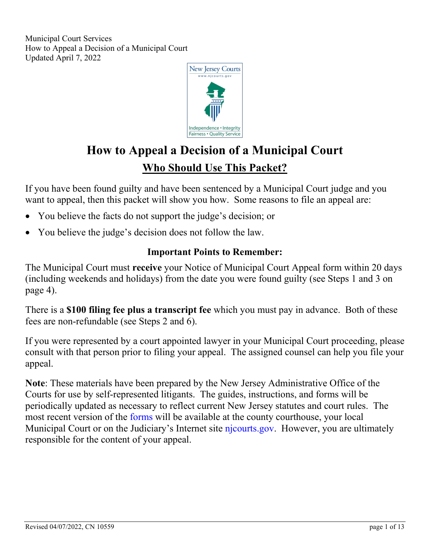Municipal Court Services How to Appeal a Decision of a Municipal Court Updated April 7, 2022



# **How to Appeal a Decision of a Municipal Court Who Should Use This Packet?**

If you have been found guilty and have been sentenced by a Municipal Court judge and you want to appeal, then this packet will show you how. Some reasons to file an appeal are:

- You believe the facts do not support the judge's decision; or
- You believe the judge's decision does not follow the law.

# **Important Points to Remember:**

The Municipal Court must **receive** your Notice of Municipal Court Appeal form within 20 days (including weekends and holidays) from the date you were found guilty (see Steps 1 and 3 on page [4\)](#page-3-0).

There is a **\$100 filing fee plus a transcript fee** which you must pay in advance. Both of these fees are non-refundable (see Steps 2 and 6).

If you were represented by a court appointed lawyer in your Municipal Court proceeding, please consult with that person prior to filing your appeal. The assigned counsel can help you file your appeal.

**Note**: These materials have been prepared by the New Jersey Administrative Office of the Courts for use by self-represented litigants. The guides, instructions, and forms will be periodically updated as necessary to reflect current New Jersey statutes and court rules. The most recent version of the [forms](http://www.njcourts.gov/selfhelp/index.html) will be available at the county courthouse, your local Municipal Court or on the Judiciary's Internet site [njcourts.gov.](http://www.njcourts.gov/selfhelp/index.html) However, you are ultimately responsible for the content of your appeal.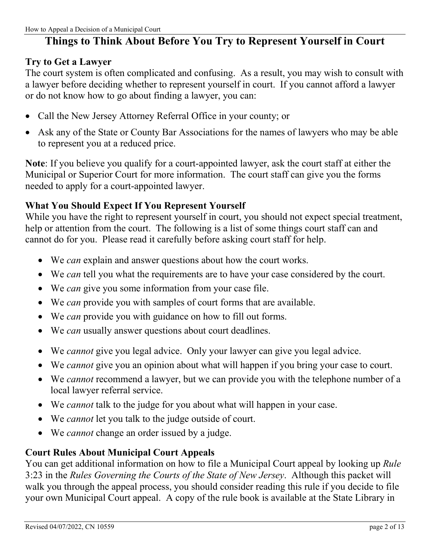# **Things to Think About Before You Try to Represent Yourself in Court**

#### **Try to Get a Lawyer**

The court system is often complicated and confusing. As a result, you may wish to consult with a lawyer before deciding whether to represent yourself in court. If you cannot afford a lawyer or do not know how to go about finding a lawyer, you can:

- Call the New Jersey Attorney Referral Office in your county; or
- Ask any of the State or County Bar Associations for the names of lawyers who may be able to represent you at a reduced price.

**Note**: If you believe you qualify for a court-appointed lawyer, ask the court staff at either the Municipal or Superior Court for more information. The court staff can give you the forms needed to apply for a court-appointed lawyer.

# **What You Should Expect If You Represent Yourself**

While you have the right to represent yourself in court, you should not expect special treatment, help or attention from the court. The following is a list of some things court staff can and cannot do for you. Please read it carefully before asking court staff for help.

- We *can* explain and answer questions about how the court works.
- We *can* tell you what the requirements are to have your case considered by the court.
- We *can* give you some information from your case file.
- We *can* provide you with samples of court forms that are available.
- We *can* provide you with guidance on how to fill out forms.
- We *can* usually answer questions about court deadlines.
- We *cannot* give you legal advice. Only your lawyer can give you legal advice.
- We *cannot* give you an opinion about what will happen if you bring your case to court.
- We *cannot* recommend a lawyer, but we can provide you with the telephone number of a local lawyer referral service.
- We *cannot* talk to the judge for you about what will happen in your case.
- We *cannot* let you talk to the judge outside of court.
- We *cannot* change an order issued by a judge.

### **Court Rules About Municipal Court Appeals**

You can get additional information on how to file a Municipal Court appeal by looking up *Rule* 3:23 in the *Rules Governing the Courts of the State of New Jersey*. Although this packet will walk you through the appeal process, you should consider reading this rule if you decide to file your own Municipal Court appeal. A copy of the rule book is available at the State Library in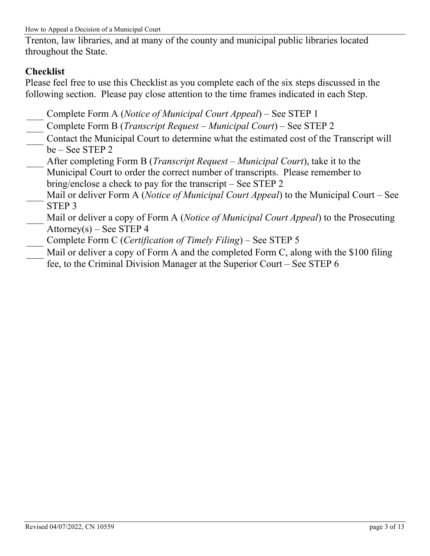Trenton, law libraries, and at many of the county and municipal public libraries located throughout the State.

# **Checklist**

Please feel free to use this Checklist as you complete each of the six steps discussed in the following section. Please pay close attention to the time frames indicated in each Step.

- Complete Form A (*Notice of Municipal Court Appeal*) See STEP 1
- Complete Form B (*Transcript Request – Municipal Court*) See STEP 2
- Contact the Municipal Court to determine what the estimated cost of the Transcript will be – See STEP 2
- After completing Form B (*Transcript Request – Municipal Court*), take it to the Municipal Court to order the correct number of transcripts. Please remember to bring/enclose a check to pay for the transcript – See STEP 2
- Mail or deliver Form A (*Notice of Municipal Court Appeal*) to the Municipal Court See STEP 3
- Mail or deliver a copy of Form A (*Notice of Municipal Court Appeal*) to the Prosecuting Attorney(s) – See STEP 4
- Complete Form C (*Certification of Timely Filing*) See STEP 5
- Mail or deliver a copy of Form A and the completed Form C, along with the \$100 filing fee, to the Criminal Division Manager at the Superior Court – See STEP 6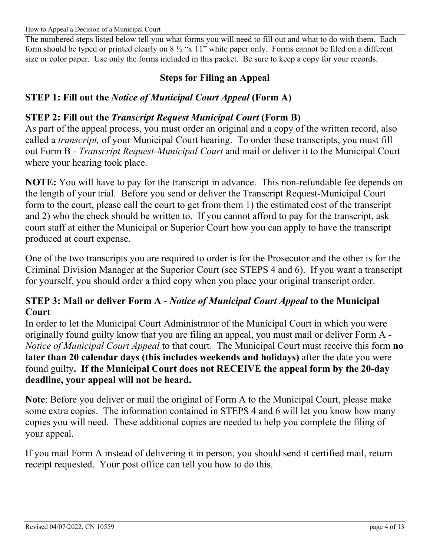The numbered steps listed below tell you what forms you will need to fill out and what to do with them. Each form should be typed or printed clearly on  $8\frac{1}{2}$  "x 11" white paper only. Forms cannot be filed on a different size or color paper. Use only the forms included in this packet. Be sure to keep a copy for your records.

# **Steps for Filing an Appeal**

# <span id="page-3-0"></span>**STEP 1: Fill out the** *Notice of Municipal Court Appeal* **(Form A)**

### **STEP 2: Fill out the** *Transcript Request Municipal Court* **(Form B)**

As part of the appeal process, you must order an original and a copy of the written record, also called a *transcript,* of your Municipal Court hearing. To order these transcripts, you must fill out Form B - *Transcript Request-Municipal Court* and mail or deliver it to the Municipal Court where your hearing took place.

**NOTE:** You will have to pay for the transcript in advance. This non-refundable fee depends on the length of your trial. Before you send or deliver the Transcript Request-Municipal Court form to the court, please call the court to get from them 1) the estimated cost of the transcript and 2) who the check should be written to. If you cannot afford to pay for the transcript, ask court staff at either the Municipal or Superior Court how you can apply to have the transcript produced at court expense.

One of the two transcripts you are required to order is for the Prosecutor and the other is for the Criminal Division Manager at the Superior Court (see STEPS 4 and 6). If you want a transcript for yourself, you should order a third copy when you place your original transcript order.

# **STEP 3: Mail or deliver Form A** - *Notice of Municipal Court Appeal* **to the Municipal Court**

In order to let the Municipal Court Administrator of the Municipal Court in which you were originally found guilty know that you are filing an appeal, you must mail or deliver Form A - *Notice of Municipal Court Appeal* to that court. The Municipal Court must receive this form **no later than 20 calendar days (this includes weekends and holidays)** after the date you were found guilty**. If the Municipal Court does not RECEIVE the appeal form by the 20-day deadline, your appeal will not be heard.**

**Note**: Before you deliver or mail the original of Form A to the Municipal Court, please make some extra copies. The information contained in STEPS 4 and 6 will let you know how many copies you will need. These additional copies are needed to help you complete the filing of your appeal.

If you mail Form A instead of delivering it in person, you should send it certified mail, return receipt requested. Your post office can tell you how to do this.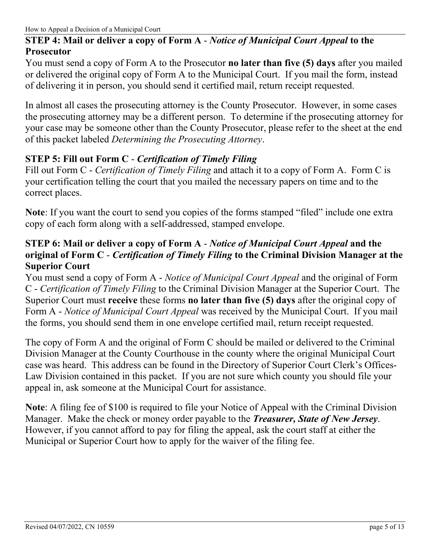# **STEP 4: Mail or deliver a copy of Form A** - *Notice of Municipal Court Appeal* **to the Prosecutor**

You must send a copy of Form A to the Prosecutor **no later than five (5) days** after you mailed or delivered the original copy of Form A to the Municipal Court. If you mail the form, instead of delivering it in person, you should send it certified mail, return receipt requested.

In almost all cases the prosecuting attorney is the County Prosecutor. However, in some cases the prosecuting attorney may be a different person. To determine if the prosecuting attorney for your case may be someone other than the County Prosecutor, please refer to the sheet at the end of this packet labeled *Determining the Prosecuting Attorney*.

# **STEP 5: Fill out Form C** - *Certification of Timely Filing*

Fill out Form C - *Certification of Timely Filing* and attach it to a copy of Form A. Form C is your certification telling the court that you mailed the necessary papers on time and to the correct places.

**Note**: If you want the court to send you copies of the forms stamped "filed" include one extra copy of each form along with a self-addressed, stamped envelope.

### **STEP 6: Mail or deliver a copy of Form A** - *Notice of Municipal Court Appeal* **and the original of Form C** - *Certification of Timely Filing* **to the Criminal Division Manager at the Superior Court**

You must send a copy of Form A - *Notice of Municipal Court Appeal* and the original of Form C - *Certification of Timely Filing* to the Criminal Division Manager at the Superior Court. The Superior Court must **receive** these forms **no later than five (5) days** after the original copy of Form A - *Notice of Municipal Court Appeal* was received by the Municipal Court. If you mail the forms, you should send them in one envelope certified mail, return receipt requested.

The copy of Form A and the original of Form C should be mailed or delivered to the Criminal Division Manager at the County Courthouse in the county where the original Municipal Court case was heard. This address can be found in the Directory of Superior Court Clerk's Offices-Law Division contained in this packet. If you are not sure which county you should file your appeal in, ask someone at the Municipal Court for assistance.

**Note**: A filing fee of \$100 is required to file your Notice of Appeal with the Criminal Division Manager. Make the check or money order payable to the *Treasurer, State of New Jersey*. However, if you cannot afford to pay for filing the appeal, ask the court staff at either the Municipal or Superior Court how to apply for the waiver of the filing fee.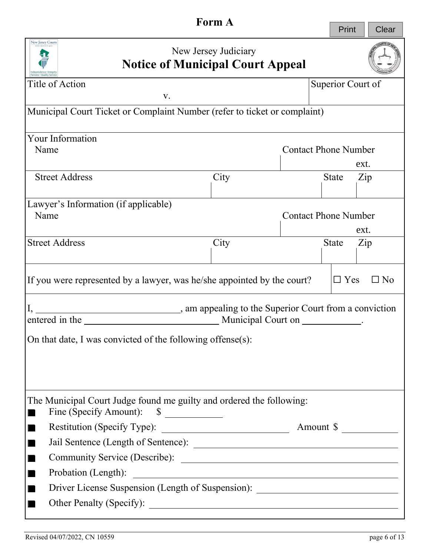| <b>Form A</b>                                                                                                                |                                                                                                   |      |                             | Print             | Clear                            |  |  |
|------------------------------------------------------------------------------------------------------------------------------|---------------------------------------------------------------------------------------------------|------|-----------------------------|-------------------|----------------------------------|--|--|
| <b>New Jersey Courts</b>                                                                                                     | New Jersey Judiciary<br><b>Notice of Municipal Court Appeal</b>                                   |      |                             |                   |                                  |  |  |
| Title of Action                                                                                                              | V.                                                                                                |      |                             | Superior Court of |                                  |  |  |
| Municipal Court Ticket or Complaint Number (refer to ticket or complaint)                                                    |                                                                                                   |      |                             |                   |                                  |  |  |
| Name                                                                                                                         | Your Information                                                                                  |      | <b>Contact Phone Number</b> |                   | ext.                             |  |  |
|                                                                                                                              | <b>Street Address</b>                                                                             | City |                             | <b>State</b>      | $\mathop{\mathrm{Zip}}\nolimits$ |  |  |
|                                                                                                                              | Lawyer's Information (if applicable)                                                              |      |                             |                   |                                  |  |  |
| Name                                                                                                                         |                                                                                                   |      | <b>Contact Phone Number</b> |                   | ext.                             |  |  |
| <b>Street Address</b>                                                                                                        |                                                                                                   | City |                             | <b>State</b>      | $\overline{Lip}$                 |  |  |
| $\Box$ Yes<br>If you were represented by a lawyer, was he/she appointed by the court?<br>$\Box$ No                           |                                                                                                   |      |                             |                   |                                  |  |  |
| am appealing to the Superior Court from a conviction (3) and a sensitive measurement of the Superior Court from a conviction |                                                                                                   |      |                             |                   |                                  |  |  |
| entered in the<br>Municipal Court on                                                                                         |                                                                                                   |      |                             |                   |                                  |  |  |
| On that date, I was convicted of the following offense(s):                                                                   |                                                                                                   |      |                             |                   |                                  |  |  |
|                                                                                                                              | The Municipal Court Judge found me guilty and ordered the following:<br>Fine (Specify Amount): \$ |      |                             |                   |                                  |  |  |
|                                                                                                                              |                                                                                                   |      |                             |                   |                                  |  |  |
|                                                                                                                              |                                                                                                   |      |                             |                   |                                  |  |  |
| Community Service (Describe):                                                                                                |                                                                                                   |      |                             |                   |                                  |  |  |
|                                                                                                                              |                                                                                                   |      |                             |                   |                                  |  |  |
| Driver License Suspension (Length of Suspension): ______________________________                                             |                                                                                                   |      |                             |                   |                                  |  |  |
|                                                                                                                              |                                                                                                   |      |                             |                   |                                  |  |  |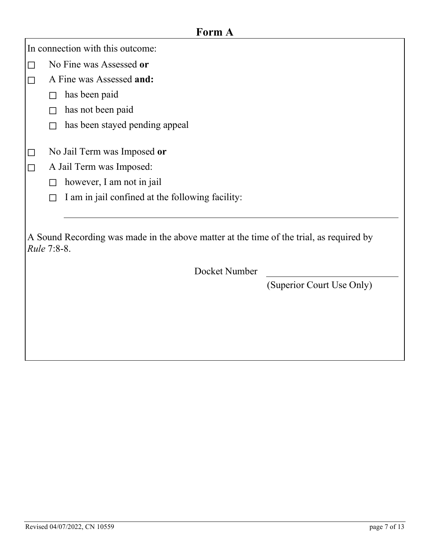In connection with this outcome:

- ☐ No Fine was Assessed **or**
- ☐ A Fine was Assessed **and:**
	- $\Box$  has been paid
	- □ has not been paid
	- $\Box$  has been stayed pending appeal
- ☐ No Jail Term was Imposed **or**
- □ A Jail Term was Imposed:
	- $\Box$  however, I am not in jail
	- $\Box$  I am in jail confined at the following facility:

A Sound Recording was made in the above matter at the time of the trial, as required by *Rule* 7:8-8.

Docket Number

(Superior Court Use Only)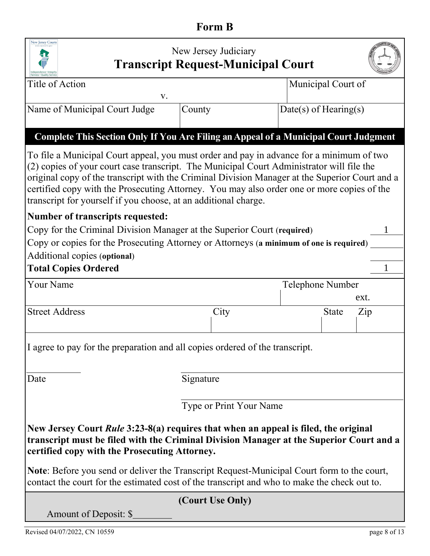# **Form B**

| New Jersey Courts<br>New Jersey Judiciary<br><b>Transcript Request-Municipal Court</b>                                                                                                                                                                                                                                                                                                                                                                   |           |                         |  |  |  |  |
|----------------------------------------------------------------------------------------------------------------------------------------------------------------------------------------------------------------------------------------------------------------------------------------------------------------------------------------------------------------------------------------------------------------------------------------------------------|-----------|-------------------------|--|--|--|--|
| Title of Action                                                                                                                                                                                                                                                                                                                                                                                                                                          |           | Municipal Court of      |  |  |  |  |
| V.<br>Name of Municipal Court Judge                                                                                                                                                                                                                                                                                                                                                                                                                      | County    | Date(s) of $Hearing(s)$ |  |  |  |  |
| <b>Complete This Section Only If You Are Filing an Appeal of a Municipal Court Judgment</b>                                                                                                                                                                                                                                                                                                                                                              |           |                         |  |  |  |  |
| To file a Municipal Court appeal, you must order and pay in advance for a minimum of two<br>(2) copies of your court case transcript. The Municipal Court Administrator will file the<br>original copy of the transcript with the Criminal Division Manager at the Superior Court and a<br>certified copy with the Prosecuting Attorney. You may also order one or more copies of the<br>transcript for yourself if you choose, at an additional charge. |           |                         |  |  |  |  |
| <b>Number of transcripts requested:</b>                                                                                                                                                                                                                                                                                                                                                                                                                  |           |                         |  |  |  |  |
| Copy for the Criminal Division Manager at the Superior Court (required)                                                                                                                                                                                                                                                                                                                                                                                  |           |                         |  |  |  |  |
| Copy or copies for the Prosecuting Attorney or Attorneys (a minimum of one is required)                                                                                                                                                                                                                                                                                                                                                                  |           |                         |  |  |  |  |
| Additional copies (optional)                                                                                                                                                                                                                                                                                                                                                                                                                             |           |                         |  |  |  |  |
| <b>Total Copies Ordered</b>                                                                                                                                                                                                                                                                                                                                                                                                                              |           |                         |  |  |  |  |
| <b>Your Name</b>                                                                                                                                                                                                                                                                                                                                                                                                                                         |           | Telephone Number        |  |  |  |  |
|                                                                                                                                                                                                                                                                                                                                                                                                                                                          |           | ext.                    |  |  |  |  |
| <b>Street Address</b>                                                                                                                                                                                                                                                                                                                                                                                                                                    | City      | <b>State</b><br>Zip     |  |  |  |  |
| I agree to pay for the preparation and all copies ordered of the transcript.                                                                                                                                                                                                                                                                                                                                                                             |           |                         |  |  |  |  |
| Date                                                                                                                                                                                                                                                                                                                                                                                                                                                     | Signature |                         |  |  |  |  |
| Type or Print Your Name                                                                                                                                                                                                                                                                                                                                                                                                                                  |           |                         |  |  |  |  |
| New Jersey Court Rule 3:23-8(a) requires that when an appeal is filed, the original<br>transcript must be filed with the Criminal Division Manager at the Superior Court and a<br>certified copy with the Prosecuting Attorney.                                                                                                                                                                                                                          |           |                         |  |  |  |  |
| Note: Before you send or deliver the Transcript Request-Municipal Court form to the court,<br>contact the court for the estimated cost of the transcript and who to make the check out to.                                                                                                                                                                                                                                                               |           |                         |  |  |  |  |
| (Court Use Only)<br>Amount of Deposit: \$                                                                                                                                                                                                                                                                                                                                                                                                                |           |                         |  |  |  |  |
| Revised 04/07/2022, CN 10559                                                                                                                                                                                                                                                                                                                                                                                                                             |           | page 8 of 13            |  |  |  |  |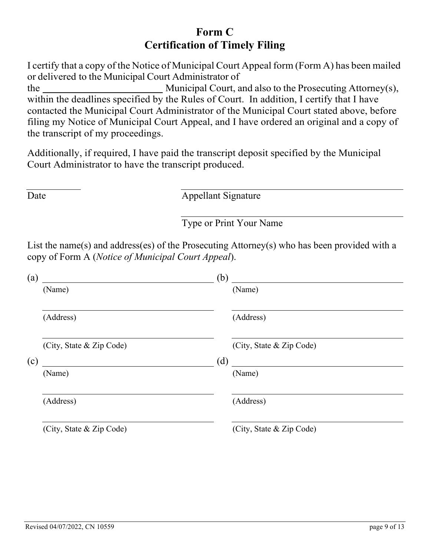# **Form C Certification of Timely Filing**

I certify that a copy of the Notice of Municipal Court Appeal form (Form A) has been mailed or delivered to the Municipal Court Administrator of the Municipal Court, and also to the Prosecuting Attorney(s), within the deadlines specified by the Rules of Court. In addition, I certify that I have contacted the Municipal Court Administrator of the Municipal Court stated above, before filing my Notice of Municipal Court Appeal, and I have ordered an original and a copy of the transcript of my proceedings.

Additionally, if required, I have paid the transcript deposit specified by the Municipal Court Administrator to have the transcript produced.

Date Appellant Signature

Type or Print Your Name

List the name(s) and address(es) of the Prosecuting Attorney(s) who has been provided with a copy of Form A (*Notice of Municipal Court Appeal*).

| (a) |                                 | (b) |                          |  |
|-----|---------------------------------|-----|--------------------------|--|
|     | (Name)                          |     | (Name)                   |  |
|     | (Address)                       |     | (Address)                |  |
| (c) | (City, State & Zip Code)<br>(d) |     | (City, State & Zip Code) |  |
|     |                                 |     |                          |  |
|     | (Name)                          |     | (Name)                   |  |
|     | (Address)                       |     | (Address)                |  |
|     | (City, State & Zip Code)        |     | (City, State & Zip Code) |  |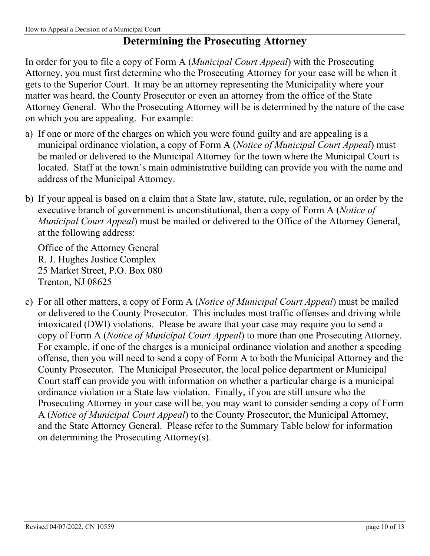# **Determining the Prosecuting Attorney**

In order for you to file a copy of Form A (*Municipal Court Appeal*) with the Prosecuting Attorney, you must first determine who the Prosecuting Attorney for your case will be when it gets to the Superior Court. It may be an attorney representing the Municipality where your matter was heard, the County Prosecutor or even an attorney from the office of the State Attorney General. Who the Prosecuting Attorney will be is determined by the nature of the case on which you are appealing. For example:

- a) If one or more of the charges on which you were found guilty and are appealing is a municipal ordinance violation, a copy of Form A (*Notice of Municipal Court Appeal*) must be mailed or delivered to the Municipal Attorney for the town where the Municipal Court is located. Staff at the town's main administrative building can provide you with the name and address of the Municipal Attorney.
- b) If your appeal is based on a claim that a State law, statute, rule, regulation, or an order by the executive branch of government is unconstitutional, then a copy of Form A (*Notice of Municipal Court Appeal*) must be mailed or delivered to the Office of the Attorney General, at the following address:

Office of the Attorney General R. J. Hughes Justice Complex 25 Market Street, P.O. Box 080 Trenton, NJ 08625

c) For all other matters, a copy of Form A (*Notice of Municipal Court Appeal*) must be mailed or delivered to the County Prosecutor. This includes most traffic offenses and driving while intoxicated (DWI) violations. Please be aware that your case may require you to send a copy of Form A (*Notice of Municipal Court Appeal*) to more than one Prosecuting Attorney. For example, if one of the charges is a municipal ordinance violation and another a speeding offense, then you will need to send a copy of Form A to both the Municipal Attorney and the County Prosecutor. The Municipal Prosecutor, the local police department or Municipal Court staff can provide you with information on whether a particular charge is a municipal ordinance violation or a State law violation. Finally, if you are still unsure who the Prosecuting Attorney in your case will be, you may want to consider sending a copy of Form A (*Notice of Municipal Court Appeal*) to the County Prosecutor, the Municipal Attorney, and the State Attorney General. Please refer to the Summary Table below for information on determining the Prosecuting Attorney(s).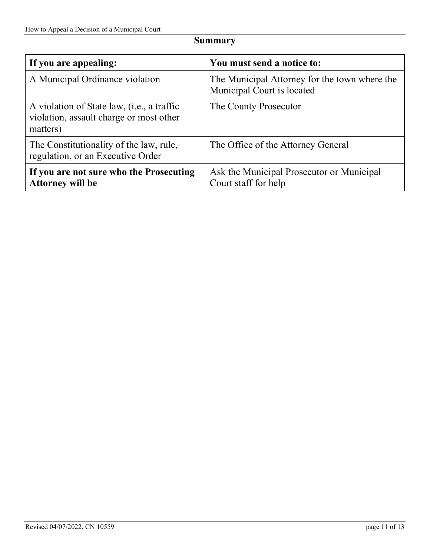| Summary                                                                                           |                                                                             |  |  |  |
|---------------------------------------------------------------------------------------------------|-----------------------------------------------------------------------------|--|--|--|
| If you are appealing:                                                                             | You must send a notice to:                                                  |  |  |  |
| A Municipal Ordinance violation                                                                   | The Municipal Attorney for the town where the<br>Municipal Court is located |  |  |  |
| A violation of State law, (i.e., a traffic<br>violation, assault charge or most other<br>matters) | The County Prosecutor                                                       |  |  |  |
| The Constitutionality of the law, rule,<br>regulation, or an Executive Order                      | The Office of the Attorney General                                          |  |  |  |
| If you are not sure who the Prosecuting<br><b>Attorney will be</b>                                | Ask the Municipal Prosecutor or Municipal<br>Court staff for help           |  |  |  |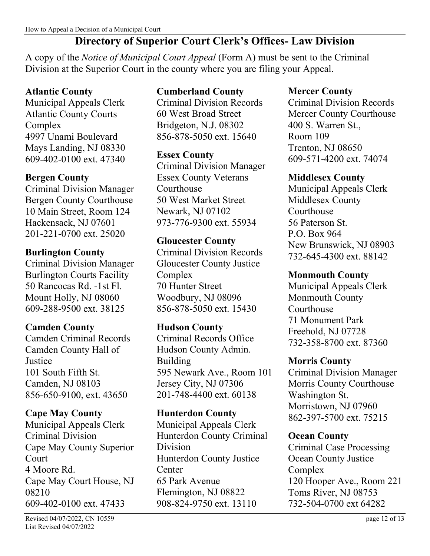# **Directory of Superior Court Clerk's Offices- Law Division**

A copy of the *Notice of Municipal Court Appeal* (Form A) must be sent to the Criminal Division at the Superior Court in the county where you are filing your Appeal.

### **Atlantic County**

Municipal Appeals Clerk Atlantic County Courts Complex 4997 Unami Boulevard Mays Landing, NJ 08330 609-402-0100 ext. 47340

### **Bergen County**

Criminal Division Manager Bergen County Courthouse 10 Main Street, Room 124 Hackensack, NJ 07601 201-221-0700 ext. 25020

#### **Burlington County**

Criminal Division Manager Burlington Courts Facility 50 Rancocas Rd. -1st Fl. Mount Holly, NJ 08060 609-288-9500 ext. 38125

### **Camden County**

Camden Criminal Records Camden County Hall of Justice 101 South Fifth St. Camden, NJ 08103 856-650-9100, ext. 43650

#### **Cape May County**

Municipal Appeals Clerk Criminal Division Cape May County Superior Court 4 Moore Rd. Cape May Court House, NJ 08210 609-402-0100 ext. 47433

### **Cumberland County**

Criminal Division Records 60 West Broad Street Bridgeton, N.J. 08302 856-878-5050 ext. 15640

#### **Essex County**

Criminal Division Manager Essex County Veterans Courthouse 50 West Market Street Newark, NJ 07102 973-776-9300 ext. 55934

#### **Gloucester County**

Criminal Division Records Gloucester County Justice Complex 70 Hunter Street Woodbury, NJ 08096 856-878-5050 ext. 15430

#### **Hudson County**

Criminal Records Office Hudson County Admin. Building 595 Newark Ave., Room 101 Jersey City, NJ 07306 201-748-4400 ext. 60138

#### **Hunterdon County**

Municipal Appeals Clerk Hunterdon County Criminal Division Hunterdon County Justice **Center** 65 Park Avenue Flemington, NJ 08822 908-824-9750 ext. 13110

#### **Mercer County**

Criminal Division Records Mercer County Courthouse 400 S. Warren St., Room 109 Trenton, NJ 08650 609-571-4200 ext. 74074

#### **Middlesex County**

Municipal Appeals Clerk Middlesex County Courthouse 56 Paterson St. P.O. Box 964 New Brunswick, NJ 08903 732-645-4300 ext. 88142

#### **Monmouth County**

Municipal Appeals Clerk Monmouth County Courthouse 71 Monument Park Freehold, NJ 07728 732-358-8700 ext. 87360

#### **Morris County**

Criminal Division Manager Morris County Courthouse Washington St. Morristown, NJ 07960 862-397-5700 ext. 75215

### **Ocean County**

Criminal Case Processing Ocean County Justice Complex 120 Hooper Ave., Room 221 Toms River, NJ 08753 732-504-0700 ext 64282